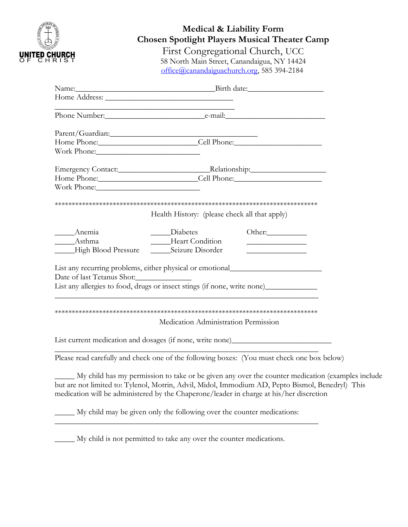| inn.                 |  |
|----------------------|--|
| <b>UNILED CHURCH</b> |  |

## **Medical & Liability Form Chosen Spotlight Players Musical Theater Camp**

First Congregational Church, UCC 58 North Main Street, Canandaigua, NY 14424 [office@canandaiguachurch.org,](mailto:office@canandaiguachurch.org) 585 394-2184

|                                                 | Name: Birth date:                                                                                                                                                                                                                                                                               |
|-------------------------------------------------|-------------------------------------------------------------------------------------------------------------------------------------------------------------------------------------------------------------------------------------------------------------------------------------------------|
|                                                 |                                                                                                                                                                                                                                                                                                 |
|                                                 | <u> 1989 - Johann Harry Barn, mars ar breist fan de Amerikaanske kommunister fan de Amerikaanske kommunister fan </u>                                                                                                                                                                           |
|                                                 |                                                                                                                                                                                                                                                                                                 |
|                                                 | Parent/Guardian:<br>Home Phone: Cell Phone: Cell Phone:                                                                                                                                                                                                                                         |
| Work Phone:                                     |                                                                                                                                                                                                                                                                                                 |
|                                                 |                                                                                                                                                                                                                                                                                                 |
|                                                 | Home Phone: Cell Phone: Cell Phone:                                                                                                                                                                                                                                                             |
|                                                 |                                                                                                                                                                                                                                                                                                 |
|                                                 |                                                                                                                                                                                                                                                                                                 |
|                                                 | Health History: (please check all that apply)                                                                                                                                                                                                                                                   |
|                                                 | Diabetes<br>Other:                                                                                                                                                                                                                                                                              |
| _____________Asthma                             | Heart Condition<br><u> 1989 - Johann Barbara, martin a</u>                                                                                                                                                                                                                                      |
| ____High Blood Pressure _______Seizure Disorder |                                                                                                                                                                                                                                                                                                 |
|                                                 | List any recurring problems, either physical or emotional                                                                                                                                                                                                                                       |
|                                                 |                                                                                                                                                                                                                                                                                                 |
|                                                 | List any allergies to food, drugs or insect stings (if none, write none)_____________                                                                                                                                                                                                           |
|                                                 |                                                                                                                                                                                                                                                                                                 |
|                                                 |                                                                                                                                                                                                                                                                                                 |
|                                                 | Medication Administration Permission                                                                                                                                                                                                                                                            |
|                                                 |                                                                                                                                                                                                                                                                                                 |
|                                                 | List current medication and dosages (if none, write none)_______________________                                                                                                                                                                                                                |
|                                                 | Please read carefully and check one of the following boxes: (You must check one box below)                                                                                                                                                                                                      |
|                                                 | My child has my permission to take or be given any over the counter medication (examples include<br>but are not limited to: Tylenol, Motrin, Advil, Midol, Immodium AD, Pepto Bismol, Benedryl) This<br>medication will be administered by the Chaperone/leader in charge at his/her discretion |
|                                                 | My child may be given only the following over the counter medications:                                                                                                                                                                                                                          |
|                                                 |                                                                                                                                                                                                                                                                                                 |

\_\_\_\_\_ My child is not permitted to take any over the counter medications.